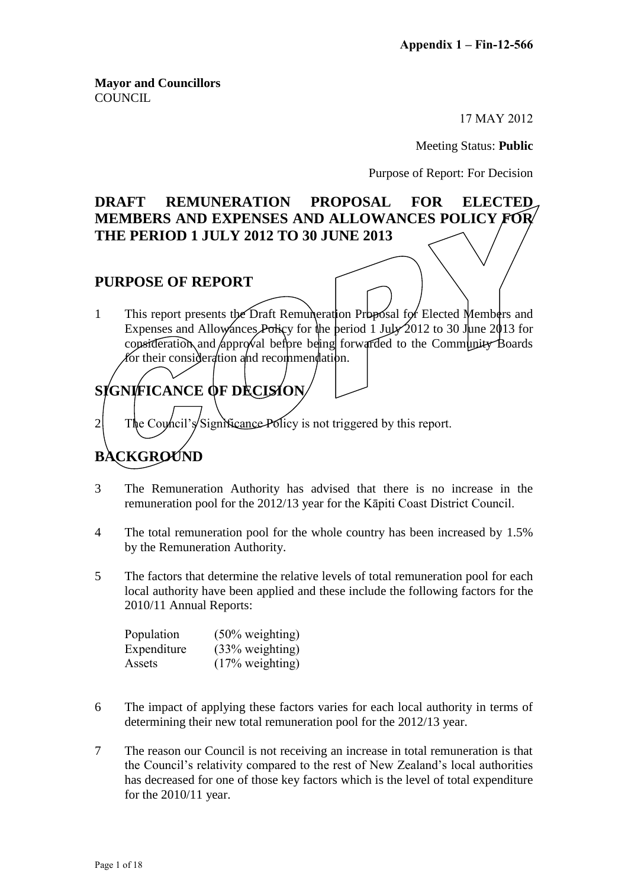**Mayor and Councillors COUNCIL** 

17 MAY 2012

Meeting Status: **Public**

Purpose of Report: For Decision

## **DRAFT REMUNERATION PROPOSAL FOR ELECTED MEMBERS AND EXPENSES AND ALLOWANCES POLICY FOR THE PERIOD 1 JULY 2012 TO 30 JUNE 2013**

## **PURPOSE OF REPORT**

1 This report presents the Draft Remuneration Proposal for Elected Members and Expenses and Allowances Policy for the period 1 July 2012 to 30 June 2013 for consideration and approval before being forwarded to the Community Boards for their consideration and recommendation.

# **SIGNIFICANCE OF DECISION**

 $2$  The Council's Significance Policy is not triggered by this report.

## **BACKGROUND**

- 3 The Remuneration Authority has advised that there is no increase in the remuneration pool for the 2012/13 year for the Kāpiti Coast District Council.
- 4 The total remuneration pool for the whole country has been increased by 1.5% by the Remuneration Authority.
- 5 The factors that determine the relative levels of total remuneration pool for each local authority have been applied and these include the following factors for the 2010/11 Annual Reports:

| Population  | $(50\% \text{ weighting})$ |
|-------------|----------------------------|
| Expenditure | $(33% \text{ weighting})$  |
| Assets      | $(17\% \text{ weighting})$ |

- 6 The impact of applying these factors varies for each local authority in terms of determining their new total remuneration pool for the 2012/13 year.
- 7 The reason our Council is not receiving an increase in total remuneration is that the Council's relativity compared to the rest of New Zealand's local authorities has decreased for one of those key factors which is the level of total expenditure for the 2010/11 year.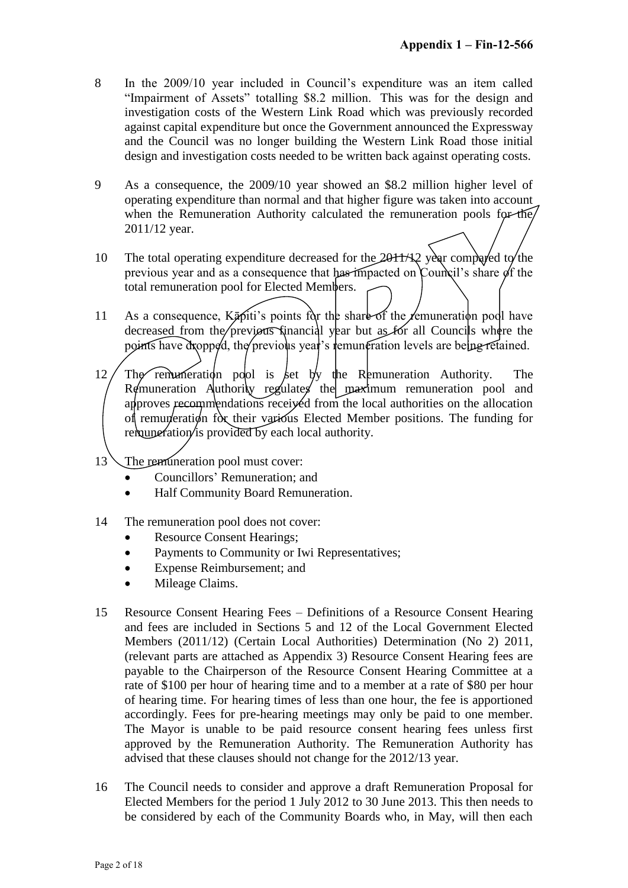- 8 In the 2009/10 year included in Council's expenditure was an item called "Impairment of Assets" totalling \$8.2 million. This was for the design and investigation costs of the Western Link Road which was previously recorded against capital expenditure but once the Government announced the Expressway and the Council was no longer building the Western Link Road those initial design and investigation costs needed to be written back against operating costs.
- 9 As a consequence, the 2009/10 year showed an \$8.2 million higher level of operating expenditure than normal and that higher figure was taken into account when the Remuneration Authority calculated the remuneration pools for the 2011/12 year.
- 10 The total operating expenditure decreased for the  $20$ H $\rightarrow$  Year compared to the previous year and as a consequence that has impacted on Council's share of the total remuneration pool for Elected Members.
- 11 As a consequence,  $K\bar{\mathfrak{g}}$  fiti's points for the share of the *femuneration* pool have decreased from the previous financial year but as for all Councils where the points have dropped, the previous year's remuneration levels are being retained.
- 12 The remuneration pool is ket by the Remuneration Authority. The Remuneration Authority regulates the maximum remuneration pool and approves recommendations received from the local authorities on the allocation of remuneration for their various Elected Member positions. The funding for remuneration is provided by each local authority.
- 13 The remuneration pool must cover:
	- Councillors' Remuneration; and
	- Half Community Board Remuneration.
- 14 The remuneration pool does not cover:
	- Resource Consent Hearings;
	- Payments to Community or Iwi Representatives;
	- Expense Reimbursement; and
	- Mileage Claims.
- 15 Resource Consent Hearing Fees Definitions of a Resource Consent Hearing and fees are included in Sections 5 and 12 of the Local Government Elected Members (2011/12) (Certain Local Authorities) Determination (No 2) 2011, (relevant parts are attached as Appendix 3) Resource Consent Hearing fees are payable to the Chairperson of the Resource Consent Hearing Committee at a rate of \$100 per hour of hearing time and to a member at a rate of \$80 per hour of hearing time. For hearing times of less than one hour, the fee is apportioned accordingly. Fees for pre-hearing meetings may only be paid to one member. The Mayor is unable to be paid resource consent hearing fees unless first approved by the Remuneration Authority. The Remuneration Authority has advised that these clauses should not change for the 2012/13 year.
- 16 The Council needs to consider and approve a draft Remuneration Proposal for Elected Members for the period 1 July 2012 to 30 June 2013. This then needs to be considered by each of the Community Boards who, in May, will then each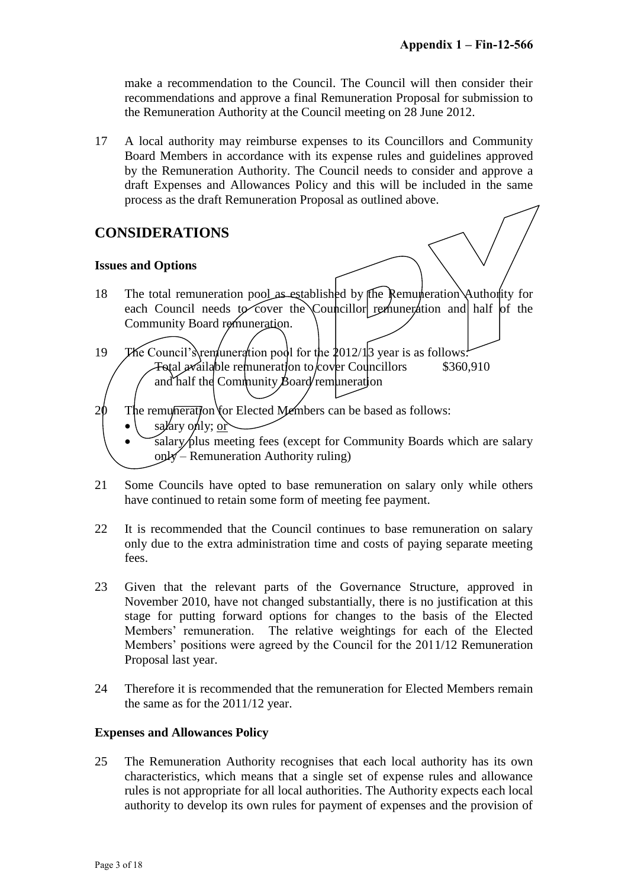make a recommendation to the Council. The Council will then consider their recommendations and approve a final Remuneration Proposal for submission to the Remuneration Authority at the Council meeting on 28 June 2012.

17 A local authority may reimburse expenses to its Councillors and Community Board Members in accordance with its expense rules and guidelines approved by the Remuneration Authority. The Council needs to consider and approve a draft Expenses and Allowances Policy and this will be included in the same process as the draft Remuneration Proposal as outlined above.

## **CONSIDERATIONS**

#### **Issues and Options**

- 18 The total remuneration pool as established by the Remuneration Authority for each Council needs to cover the Councillor remuneration and half of the Community Board remuneration.
- 19 The Council's remuneration pool for the  $2012/13$  year is as follows:  $\text{Total } x$ ailable remuneration to cover Councillors and half the Community Board remuneration \$360,910
- $20$  The remumieration for Elected Members can be based as follows:
	- salary only; or
	- salary plus meeting fees (except for Community Boards which are salary only – Remuneration Authority ruling)
- 21 Some Councils have opted to base remuneration on salary only while others have continued to retain some form of meeting fee payment.
- 22 It is recommended that the Council continues to base remuneration on salary only due to the extra administration time and costs of paying separate meeting fees.
- 23 Given that the relevant parts of the Governance Structure, approved in November 2010, have not changed substantially, there is no justification at this stage for putting forward options for changes to the basis of the Elected Members' remuneration. The relative weightings for each of the Elected Members' positions were agreed by the Council for the 2011/12 Remuneration Proposal last year.
- 24 Therefore it is recommended that the remuneration for Elected Members remain the same as for the 2011/12 year.

#### **Expenses and Allowances Policy**

25 The Remuneration Authority recognises that each local authority has its own characteristics, which means that a single set of expense rules and allowance rules is not appropriate for all local authorities. The Authority expects each local authority to develop its own rules for payment of expenses and the provision of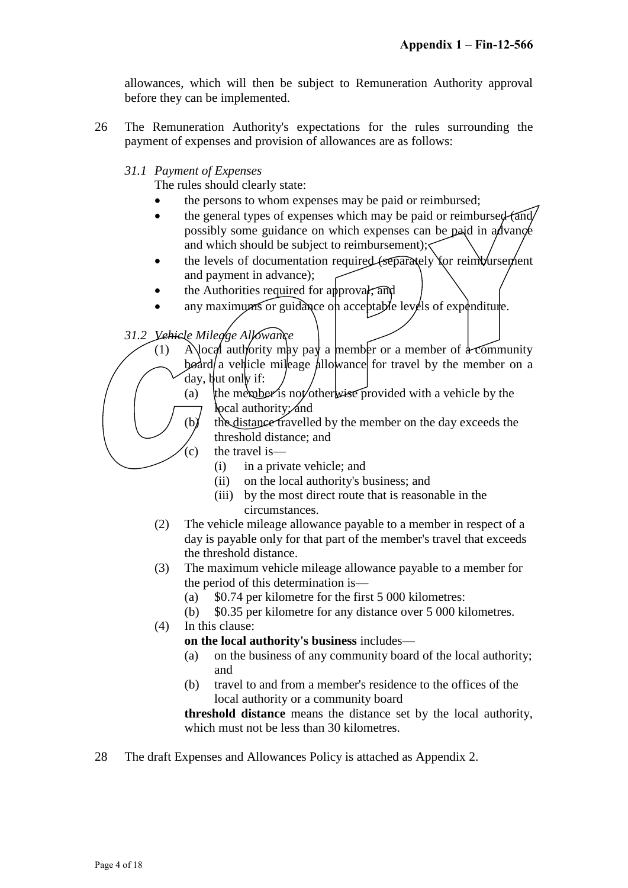allowances, which will then be subject to Remuneration Authority approval before they can be implemented.

- 26 The Remuneration Authority's expectations for the rules surrounding the payment of expenses and provision of allowances are as follows:
	- *31.1 Payment of Expenses*

The rules should clearly state:

- the persons to whom expenses may be paid or reimbursed;
- $\bullet$  the general types of expenses which may be paid or reimbursed (and/ possibly some guidance on which expenses can be paid in a dvance and which should be subject to reimbursement);
- $\bullet$  the levels of documentation required (separately for reimbursement and payment in advance);
- the Authorities required for approval, and
- any maximums or guidance on acceptable levels of expenditure.

*31.2 Vehicle Mileage Allowance*

- (1) Alocal authority may pay a member or a member of  $\frac{1}{4}$  community board a vehicle mileage allowance for travel by the member on a day, but only if:
	- (a) the member is not/otherwise provided with a vehicle by the local authority; and
	- (b) the distance travelled by the member on the day exceeds the threshold distance; and
	- $(c)$  the travel is—
		- (i) in a private vehicle; and
		- (ii) on the local authority's business; and
		- (iii) by the most direct route that is reasonable in the circumstances.
- (2) The vehicle mileage allowance payable to a member in respect of a day is payable only for that part of the member's travel that exceeds the threshold distance.
- (3) The maximum vehicle mileage allowance payable to a member for the period of this determination is—
	- (a) \$0.74 per kilometre for the first 5 000 kilometres:
	- (b) \$0.35 per kilometre for any distance over 5 000 kilometres.
- (4) In this clause:
	- **on the local authority's business** includes—
	- (a) on the business of any community board of the local authority; and
	- (b) travel to and from a member's residence to the offices of the local authority or a community board

**threshold distance** means the distance set by the local authority, which must not be less than 30 kilometres.

28 The draft Expenses and Allowances Policy is attached as Appendix 2.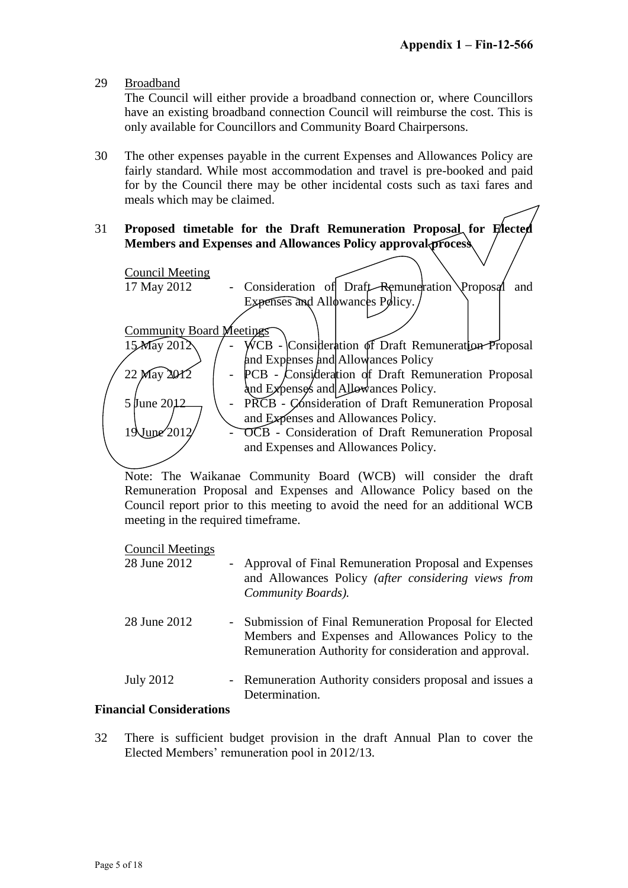29 Broadband

The Council will either provide a broadband connection or, where Councillors have an existing broadband connection Council will reimburse the cost. This is only available for Councillors and Community Board Chairpersons.

- 30 The other expenses payable in the current Expenses and Allowances Policy are fairly standard. While most accommodation and travel is pre-booked and paid for by the Council there may be other incidental costs such as taxi fares and meals which may be claimed.
- 31 **Proposed timetable for the Draft Remuneration Proposal for Elected Members and Expenses and Allowances Policy approval process**



Note: The Waikanae Community Board (WCB) will consider the draft Remuneration Proposal and Expenses and Allowance Policy based on the Council report prior to this meeting to avoid the need for an additional WCB meeting in the required timeframe.

Council Meetings

| 28 June 2012 | - Approval of Final Remuneration Proposal and Expenses<br>and Allowances Policy (after considering views from<br>Community Boards).                                    |
|--------------|------------------------------------------------------------------------------------------------------------------------------------------------------------------------|
| 28 June 2012 | - Submission of Final Remuneration Proposal for Elected<br>Members and Expenses and Allowances Policy to the<br>Remuneration Authority for consideration and approval. |
| July 2012    | - Remuneration Authority considers proposal and issues a<br>Determination.                                                                                             |
| $\cdots$     |                                                                                                                                                                        |

#### **Financial Considerations**

32 There is sufficient budget provision in the draft Annual Plan to cover the Elected Members' remuneration pool in 2012/13.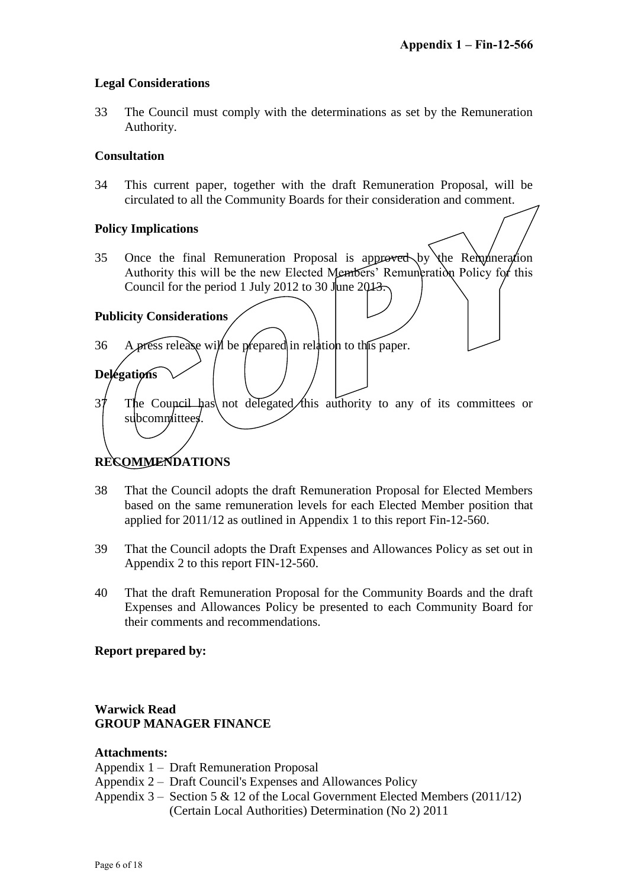#### **Legal Considerations**

33 The Council must comply with the determinations as set by the Remuneration Authority.

#### **Consultation**

34 This current paper, together with the draft Remuneration Proposal, will be circulated to all the Community Boards for their consideration and comment.

#### **Policy Implications**

35 Once the final Remuneration Proposal is approved by the Remuneration Authority this will be the new Elected Members' Remuneration Policy for this Council for the period 1 July 2012 to 30 June 2013.

#### **Publicity Considerations**

**Delegations**

- 36 A press release will be prepared in relation to the paper.
- $37$  The Council has not delegated this authority to any of its committees or subcommittees.

## **RECOMMENDATIONS**

- 38 That the Council adopts the draft Remuneration Proposal for Elected Members based on the same remuneration levels for each Elected Member position that applied for 2011/12 as outlined in Appendix 1 to this report Fin-12-560.
- 39 That the Council adopts the Draft Expenses and Allowances Policy as set out in Appendix 2 to this report FIN-12-560.
- 40 That the draft Remuneration Proposal for the Community Boards and the draft Expenses and Allowances Policy be presented to each Community Board for their comments and recommendations.

## **Report prepared by:**

## **Warwick Read GROUP MANAGER FINANCE**

#### **Attachments:**

- Appendix 1 Draft Remuneration Proposal
- Appendix 2 Draft Council's Expenses and Allowances Policy
- Appendix  $3 -$  Section 5 & 12 of the Local Government Elected Members (2011/12) (Certain Local Authorities) Determination (No 2) 2011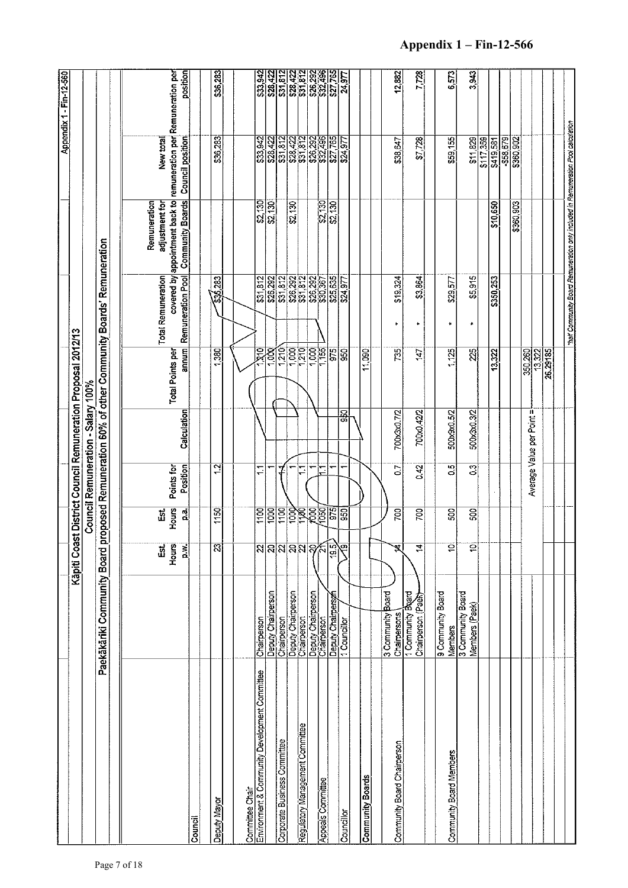|                                                                  |                                        |                           |                   |                          |                                    |                                                             |                                                                   |                                                                                  |                                                                                                                       | Appendix 1 - Fin-12-560                                                                         |
|------------------------------------------------------------------|----------------------------------------|---------------------------|-------------------|--------------------------|------------------------------------|-------------------------------------------------------------|-------------------------------------------------------------------|----------------------------------------------------------------------------------|-----------------------------------------------------------------------------------------------------------------------|-------------------------------------------------------------------------------------------------|
|                                                                  |                                        |                           |                   |                          |                                    | Kapiti Coast District Council Remuneration Proposal 2012/13 |                                                                   |                                                                                  |                                                                                                                       |                                                                                                 |
|                                                                  |                                        |                           |                   |                          | Council Remuneration - Salary 100% |                                                             |                                                                   |                                                                                  |                                                                                                                       |                                                                                                 |
|                                                                  | Paekākāriki Community Board            |                           |                   |                          |                                    |                                                             | proposed Remuneration 60% of other Community Boards' Remuneration |                                                                                  |                                                                                                                       |                                                                                                 |
|                                                                  |                                        |                           |                   |                          |                                    |                                                             |                                                                   |                                                                                  |                                                                                                                       |                                                                                                 |
|                                                                  |                                        | <u>ដើ</u>                 | Ëš.               |                          |                                    |                                                             | <b>Total Remuneration</b>                                         | Remuneration<br>adjustment for                                                   | New total                                                                                                             |                                                                                                 |
|                                                                  |                                        | Hours<br>$\sum_{i=1}^{n}$ | Hours<br>្លុ      | Position<br>Points for   | Calculation                        | annum<br>Total Points per                                   | Remuneration Pool                                                 | covered by appointment back to<br><b>Community Boards</b>                        | <b>Council position</b>                                                                                               | position<br>remuneration per Remuneration per                                                   |
| Council                                                          |                                        |                           |                   |                          |                                    |                                                             |                                                                   |                                                                                  |                                                                                                                       |                                                                                                 |
| Deputy Mayor                                                     |                                        | $\overline{3}$            | 1150              | <u>्य</u>                |                                    | 1,380                                                       | 536,283                                                           |                                                                                  | \$36,283                                                                                                              | \$36,283                                                                                        |
|                                                                  |                                        |                           |                   |                          |                                    |                                                             |                                                                   |                                                                                  |                                                                                                                       |                                                                                                 |
|                                                                  |                                        |                           |                   |                          |                                    |                                                             |                                                                   |                                                                                  |                                                                                                                       |                                                                                                 |
| Committee Chair<br>Environment & Community Development Committee | Chairperson                            |                           | $\overline{1100}$ | Ξ                        |                                    | য়ৰ                                                         | \$31,812                                                          |                                                                                  | \$33,942                                                                                                              |                                                                                                 |
|                                                                  | Deputy Chairperson                     | নি <mark>ন্নন</mark> মন্দ | 1000              |                          |                                    | $\frac{1}{200}$                                             | <u>ႜၛၟၛၛၟ</u><br>ၛၟႜၟ႞ၛၟၛၟၛၟ<br>ႜၛၟႜၛၟၛၟၯၟၛၟ                      | ន្ត្រីន្ត្រី<br>និង                                                              | ၛြဗ္ဗြုလ္မွဗ္ဇုဒ္ကဗ္လုဒ္က<br>မြန္ပြုသူမွ်ားမွန္ပါတီ<br>မြန္ပြားမွန္ပါတီမွာ                                            | ន្ត្រាជ្ញាជ្ញាជ្ញាន្ត្រាន្ត្រា<br>ន្ត្រីជ្ញាជ្ញាដ្ឋាន្ត្រី<br>ន្ត្រីដ្ឋាន្ត្រី ន្ត្រីដ្ឋាន្ត្រី |
| Corporate Business Committee                                     | Chairperson                            |                           | $rac{1}{2}$       |                          |                                    |                                                             |                                                                   |                                                                                  |                                                                                                                       |                                                                                                 |
|                                                                  | Deputy Chairperson<br>Chairperson      |                           |                   |                          |                                    | 1,000                                                       |                                                                   | \$2,130                                                                          |                                                                                                                       |                                                                                                 |
| Regulatory Management Committee                                  |                                        |                           |                   | Ξ                        |                                    | 1210                                                        |                                                                   |                                                                                  |                                                                                                                       |                                                                                                 |
|                                                                  | Deputy Chairperson<br>Chairperson      |                           |                   |                          |                                    | $\overline{1,000}$                                          |                                                                   |                                                                                  |                                                                                                                       |                                                                                                 |
| <b>Appeals Committee</b>                                         |                                        |                           |                   | F                        |                                    | $\frac{1}{1}$ 55                                            |                                                                   | $\frac{82,130}{82,130}$                                                          |                                                                                                                       |                                                                                                 |
|                                                                  | Deputy Chairperson                     | 認                         | 975               |                          |                                    | 975                                                         | \$25,635                                                          |                                                                                  |                                                                                                                       |                                                                                                 |
| Councillor                                                       |                                        |                           | ္ဘ                | $\overline{\phantom{0}}$ | 150<br>150                         | 950                                                         | \$24.977                                                          |                                                                                  | $\frac{24.977}{24.977}$                                                                                               |                                                                                                 |
|                                                                  |                                        |                           |                   |                          |                                    |                                                             |                                                                   |                                                                                  |                                                                                                                       |                                                                                                 |
| <b>Community Boards</b>                                          |                                        |                           |                   |                          |                                    | 11,090                                                      |                                                                   |                                                                                  |                                                                                                                       |                                                                                                 |
|                                                                  |                                        |                           |                   |                          |                                    |                                                             |                                                                   |                                                                                  |                                                                                                                       |                                                                                                 |
| Community Board Chairperson                                      | 3 Community Board<br>Chairpersons      | Ż,                        | 700               | $\overline{0}$           | 700x3x0.7/2                        | 735                                                         | \$19,324                                                          |                                                                                  | \$38,647                                                                                                              | 12,882                                                                                          |
|                                                                  | 1 Community Board<br>Chairperson (Paex | $\overline{14}$           | 700               | 0.42                     | 700x0.42/2                         | 147                                                         | \$3,864<br>$\bullet$                                              |                                                                                  | \$7728                                                                                                                | 7,728                                                                                           |
|                                                                  |                                        |                           |                   |                          |                                    |                                                             |                                                                   |                                                                                  |                                                                                                                       |                                                                                                 |
| Community Board Members                                          | 9 Community Board<br>Members           | ē                         | 500               | $\overline{S}$           | 500x9x0.5/2                        | 1,125                                                       | \$29,577<br>$\bullet$                                             |                                                                                  | \$59,155                                                                                                              | 6,573                                                                                           |
|                                                                  | 3 Community Board<br>Members (Paek)    | $\overline{\mathbf{c}}$   | 500               | S                        | 500x3x0.3/2                        | 25                                                          | \$5.915<br>$\star$                                                |                                                                                  | \$11829                                                                                                               | 3,943                                                                                           |
|                                                                  |                                        |                           |                   |                          |                                    |                                                             |                                                                   |                                                                                  |                                                                                                                       |                                                                                                 |
|                                                                  |                                        |                           |                   |                          |                                    | 13,322                                                      | \$350,253                                                         | \$10,650                                                                         |                                                                                                                       |                                                                                                 |
|                                                                  |                                        |                           |                   |                          |                                    |                                                             |                                                                   |                                                                                  |                                                                                                                       |                                                                                                 |
|                                                                  |                                        |                           |                   |                          |                                    |                                                             |                                                                   | \$360,903                                                                        | $\frac{\overline{817},\overline{359}}{8419,\overline{5879}}\\ \underline{-858,\overline{679}}\\ \underline{-858,502}$ |                                                                                                 |
|                                                                  |                                        |                           |                   |                          | Average Value per Point =          | 350,260                                                     |                                                                   |                                                                                  |                                                                                                                       |                                                                                                 |
|                                                                  |                                        |                           |                   |                          |                                    | 13,322                                                      |                                                                   |                                                                                  |                                                                                                                       |                                                                                                 |
|                                                                  |                                        |                           |                   |                          |                                    | 26,29185                                                    |                                                                   |                                                                                  |                                                                                                                       |                                                                                                 |
|                                                                  |                                        |                           |                   |                          |                                    |                                                             |                                                                   | that Community Board Remuneration only included in Remuneration Pool calculation |                                                                                                                       |                                                                                                 |
|                                                                  |                                        |                           |                   |                          |                                    |                                                             |                                                                   |                                                                                  |                                                                                                                       |                                                                                                 |

## **Appendix 1 – Fin-12-566**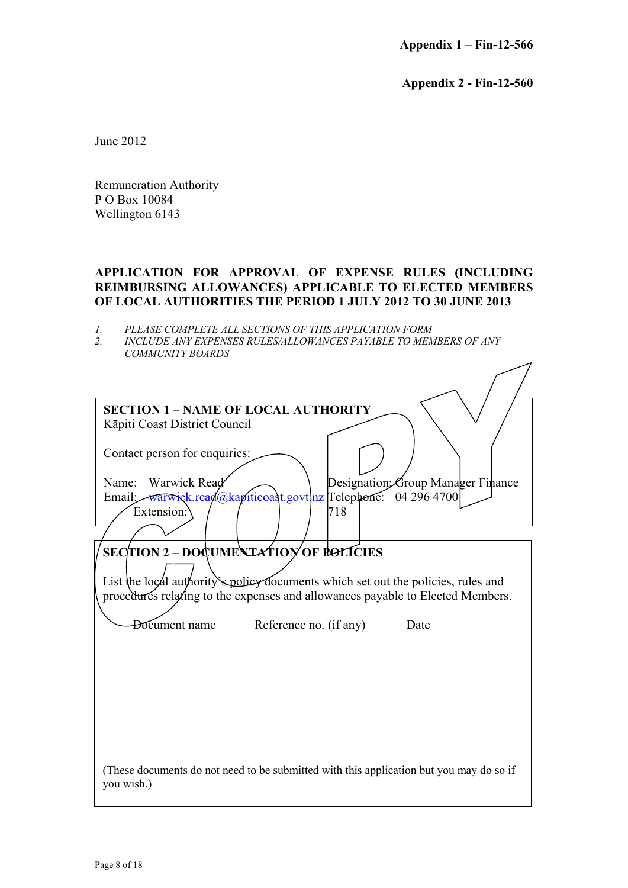**Appendix 1 – Fin-12-566**

**Appendix 2 - Fin-12-560**

 $\diagup$ 

June 2012

Remuneration Authority P O Box 10084 Wellington 6143

#### **APPLICATION FOR APPROVAL OF EXPENSE RULES (INCLUDING REIMBURSING ALLOWANCES) APPLICABLE TO ELECTED MEMBERS OF LOCAL AUTHORITIES THE PERIOD 1 JULY 2012 TO 30 JUNE 2013**

- *1. PLEASE COMPLETE ALL SECTIONS OF THIS APPLICATION FORM*
- *2. INCLUDE ANY EXPENSES RULES/ALLOWANCES PAYABLE TO MEMBERS OF ANY COMMUNITY BOARDS*

| <b>SECTION 1 - NAME OF LOCAL AUTHORITY</b>                                                                                                                                                                                                                                    |
|-------------------------------------------------------------------------------------------------------------------------------------------------------------------------------------------------------------------------------------------------------------------------------|
| Kāpiti Coast District Council                                                                                                                                                                                                                                                 |
| Contact person for enquiries:                                                                                                                                                                                                                                                 |
| Name: Warwick Read<br>Designation Group Manager Finance                                                                                                                                                                                                                       |
| Email: warwick.read@kapiticoast.govt nz Telephone: 04 296 4700                                                                                                                                                                                                                |
| 718<br>Extension:                                                                                                                                                                                                                                                             |
|                                                                                                                                                                                                                                                                               |
| <b>SECTION 2 - DOCUMENTATION OF POLICIES</b><br>List the local authority's policy documents which set out the policies, rules and<br>procedures relating to the expenses and allowances payable to Elected Members.<br><b>Document</b> name<br>Reference no. (if any)<br>Date |
| (These documents do not need to be submitted with this application but you may do so if<br>you wish.)                                                                                                                                                                         |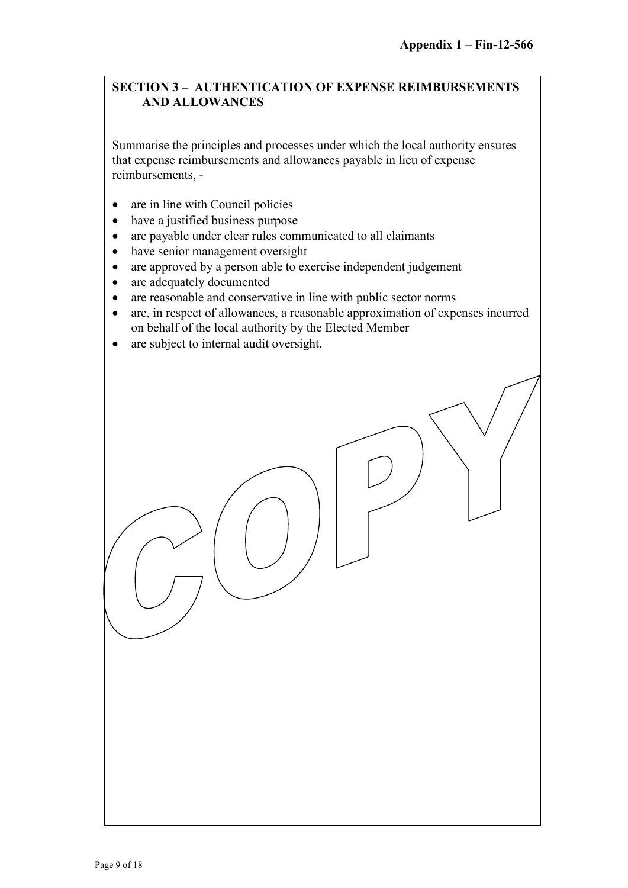#### **SECTION 3 – AUTHENTICATION OF EXPENSE REIMBURSEMENTS AND ALLOWANCES**

Summarise the principles and processes under which the local authority ensures that expense reimbursements and allowances payable in lieu of expense reimbursements, -

- are in line with Council policies
- have a justified business purpose
- are payable under clear rules communicated to all claimants
- have senior management oversight
- are approved by a person able to exercise independent judgement
- are adequately documented
- are reasonable and conservative in line with public sector norms
- are, in respect of allowances, a reasonable approximation of expenses incurred on behalf of the local authority by the Elected Member
- are subject to internal audit oversight.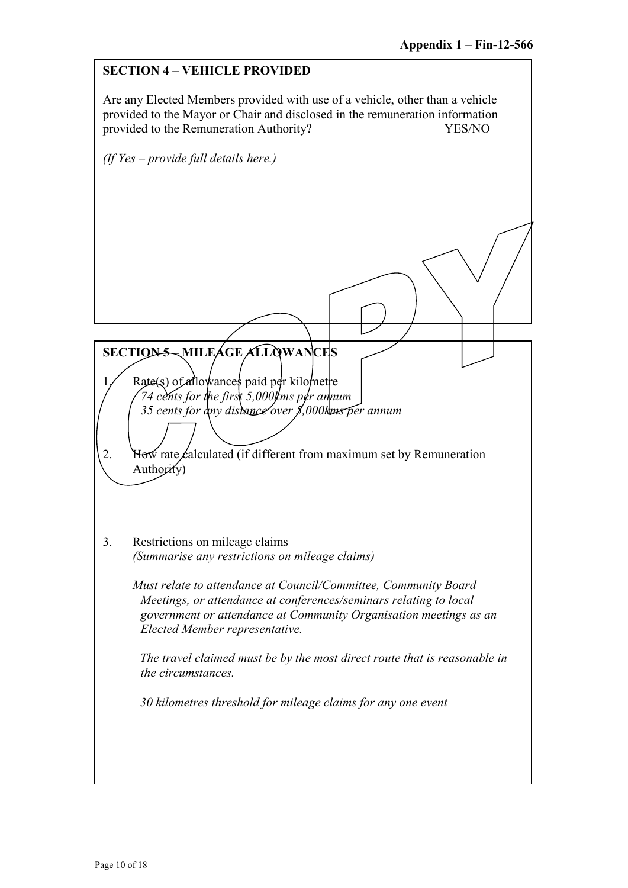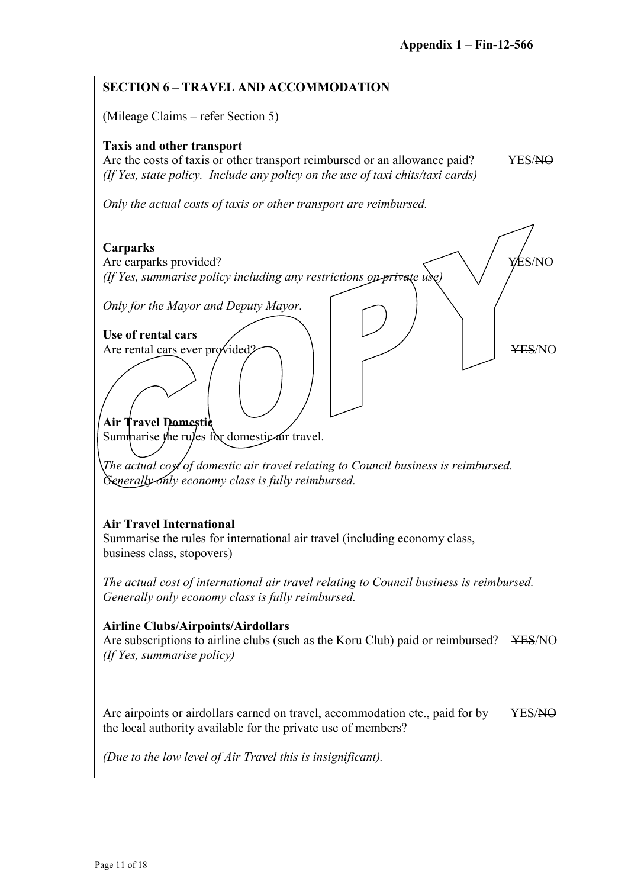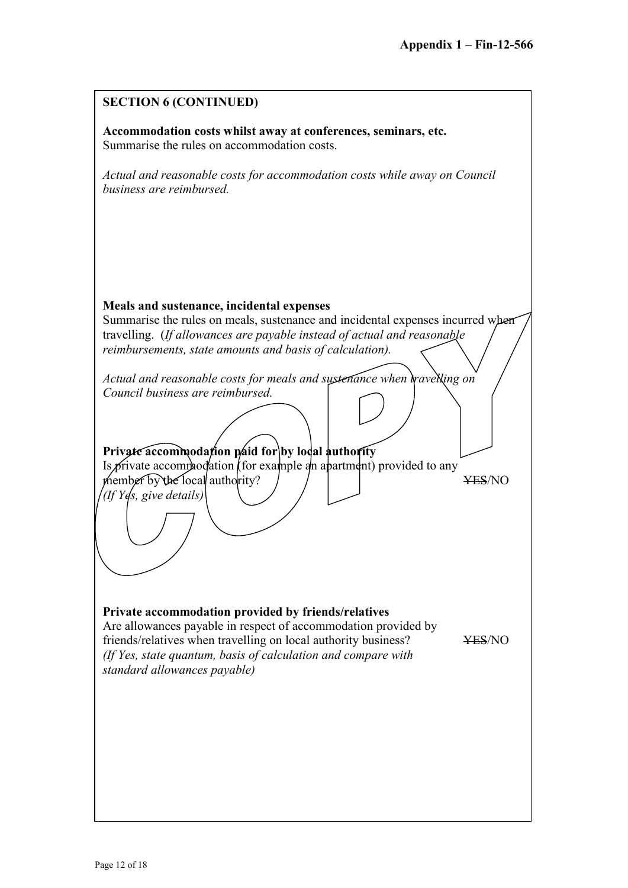| <b>SECTION 6 (CONTINUED)</b>                                                                                                                                                                                                                                                             |                    |
|------------------------------------------------------------------------------------------------------------------------------------------------------------------------------------------------------------------------------------------------------------------------------------------|--------------------|
| Accommodation costs whilst away at conferences, seminars, etc.<br>Summarise the rules on accommodation costs.                                                                                                                                                                            |                    |
| Actual and reasonable costs for accommodation costs while away on Council<br>business are reimbursed.                                                                                                                                                                                    |                    |
|                                                                                                                                                                                                                                                                                          |                    |
|                                                                                                                                                                                                                                                                                          |                    |
| Meals and sustenance, incidental expenses<br>Summarise the rules on meals, sustenance and incidental expenses incurred when<br>travelling. (If allowances are payable instead of actual and reasonable                                                                                   |                    |
| reimbursements, state amounts and basis of calculation).                                                                                                                                                                                                                                 |                    |
| Actual and reasonable costs for meals and sustenance when wavelling on<br>Council business are reimbursed.                                                                                                                                                                               |                    |
| Private accommodation paid for by local authority<br>Is private accomphodation (for example an apartment) provided to any<br>member by the local authority?<br>(If Yes, give details)                                                                                                    | <del>YES</del> /NO |
|                                                                                                                                                                                                                                                                                          |                    |
| Private accommodation provided by friends/relatives<br>Are allowances payable in respect of accommodation provided by<br>friends/relatives when travelling on local authority business?<br>(If Yes, state quantum, basis of calculation and compare with<br>standard allowances payable) | <b>¥ES/NO</b>      |
|                                                                                                                                                                                                                                                                                          |                    |
|                                                                                                                                                                                                                                                                                          |                    |
|                                                                                                                                                                                                                                                                                          |                    |
|                                                                                                                                                                                                                                                                                          |                    |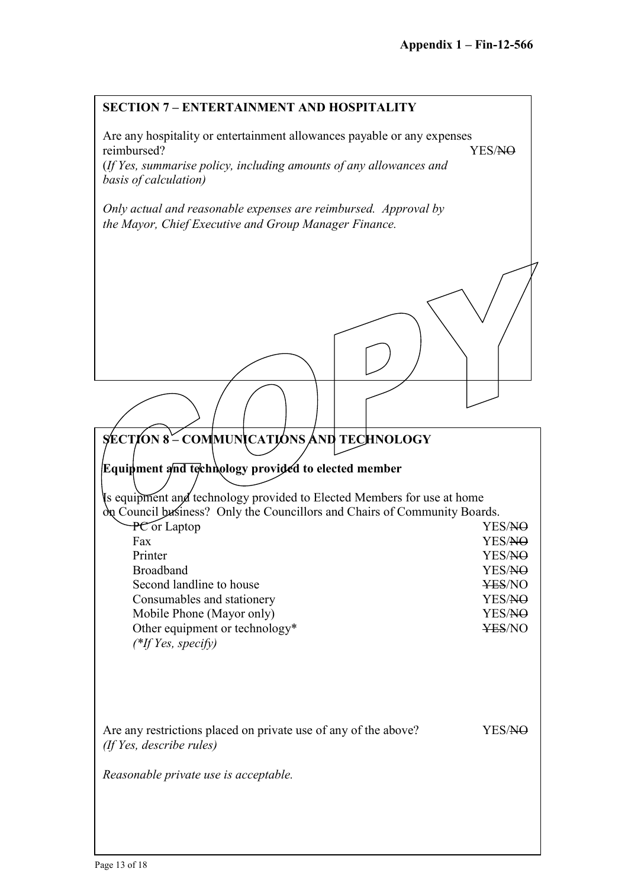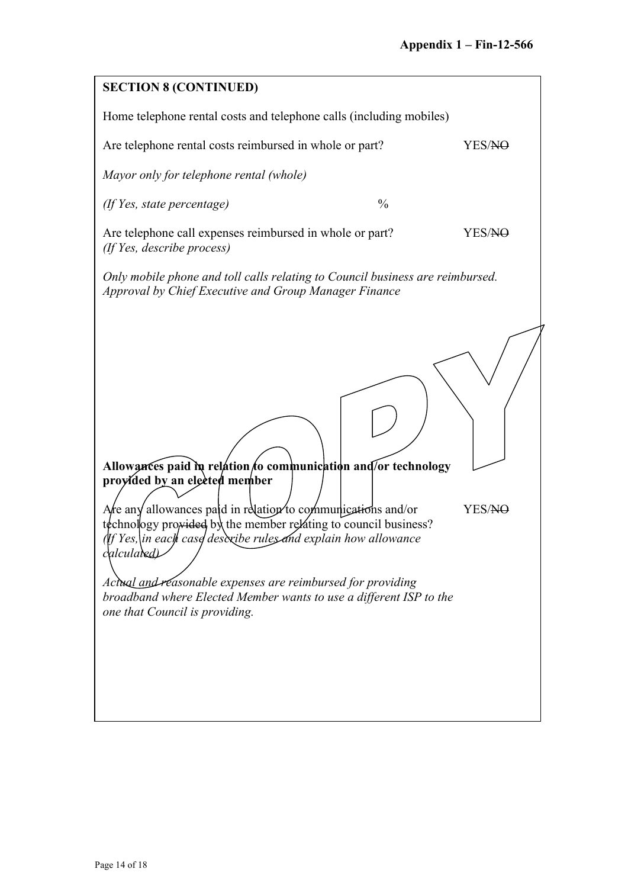| <b>SECTION 8 (CONTINUED)</b>                                                                                                                                                                                                                                                                                                                                                                                                                                                               |               |        |  |
|--------------------------------------------------------------------------------------------------------------------------------------------------------------------------------------------------------------------------------------------------------------------------------------------------------------------------------------------------------------------------------------------------------------------------------------------------------------------------------------------|---------------|--------|--|
| Home telephone rental costs and telephone calls (including mobiles)                                                                                                                                                                                                                                                                                                                                                                                                                        |               |        |  |
| Are telephone rental costs reimbursed in whole or part?<br>YES/NO                                                                                                                                                                                                                                                                                                                                                                                                                          |               |        |  |
| Mayor only for telephone rental (whole)                                                                                                                                                                                                                                                                                                                                                                                                                                                    |               |        |  |
| $($ If Yes, state percentage $)$                                                                                                                                                                                                                                                                                                                                                                                                                                                           | $\frac{0}{0}$ |        |  |
| Are telephone call expenses reimbursed in whole or part?<br>(If Yes, describe process)                                                                                                                                                                                                                                                                                                                                                                                                     |               | YES/NO |  |
| Only mobile phone and toll calls relating to Council business are reimbursed.<br>Approval by Chief Executive and Group Manager Finance                                                                                                                                                                                                                                                                                                                                                     |               |        |  |
| Allowances paid in relation to communication and for technology<br>proyided by an elected member<br>Are any allowances paid in relation to communications and/or<br>technology provided by the member relating to council business?<br>If Yes,\in each case descxibe rules and explain how allowance<br>calculated)<br>Actual and reasonable expenses are reimbursed for providing<br>broadband where Elected Member wants to use a different ISP to the<br>one that Council is providing. |               | YES/NO |  |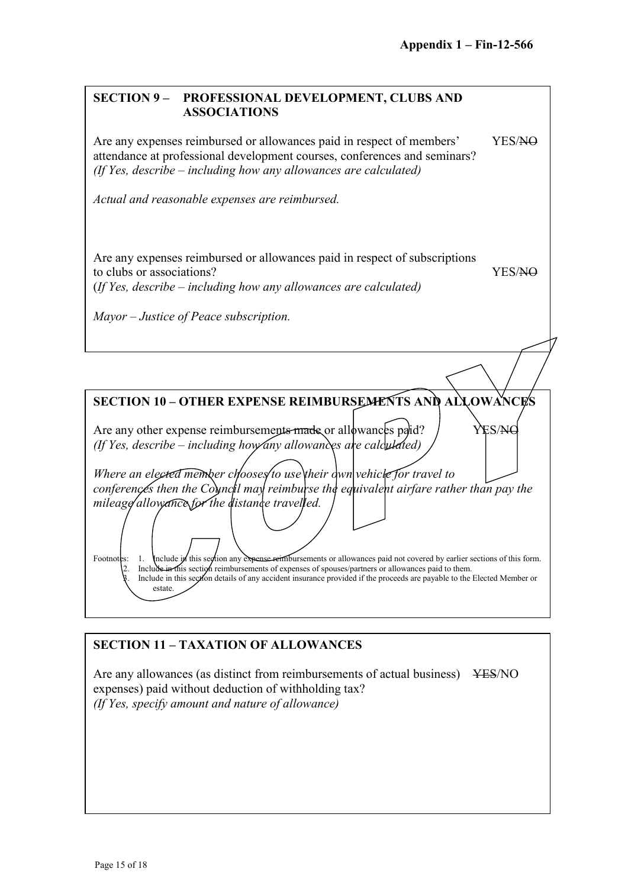#### **SECTION 9 – PROFESSIONAL DEVELOPMENT, CLUBS AND ASSOCIATIONS**

Are any expenses reimbursed or allowances paid in respect of members' YES/NO attendance at professional development courses, conferences and seminars? *(If Yes, describe – including how any allowances are calculated)*

*Actual and reasonable expenses are reimbursed.*

Are any expenses reimbursed or allowances paid in respect of subscriptions to clubs or associations? YES/NO (*If Yes, describe – including how any allowances are calculated)*

*Mayor – Justice of Peace subscription.*

**SECTION 10 – OTHER EXPENSE REIMBURSEMENTS AND ALLOWANCES**

Are any other expense reimbursements  $m$  and  $\alpha$  or allowances paid?  $\gamma$  YES/NC *(If Yes, describe – including how any allowances are calculated)*

*Where an elected member chooses to use their dwn vehicle for travel to conferences then the Council may reimburse the equivalent airfare rather than pay the mileage allowance for the distance travelled.*

Footnotes: 1. Include in this section any expense retribursements or allowances paid not covered by earlier sections of this form. Include in this section reimbursements of expenses of spouses/partners or allowances paid to them. Include in this section details of any accident insurance provided if the proceeds are payable to the Elected Member or estate.

## **SECTION 11 – TAXATION OF ALLOWANCES**

Are any allowances (as distinct from reimbursements of actual business) YES/NO expenses) paid without deduction of withholding tax? *(If Yes, specify amount and nature of allowance)*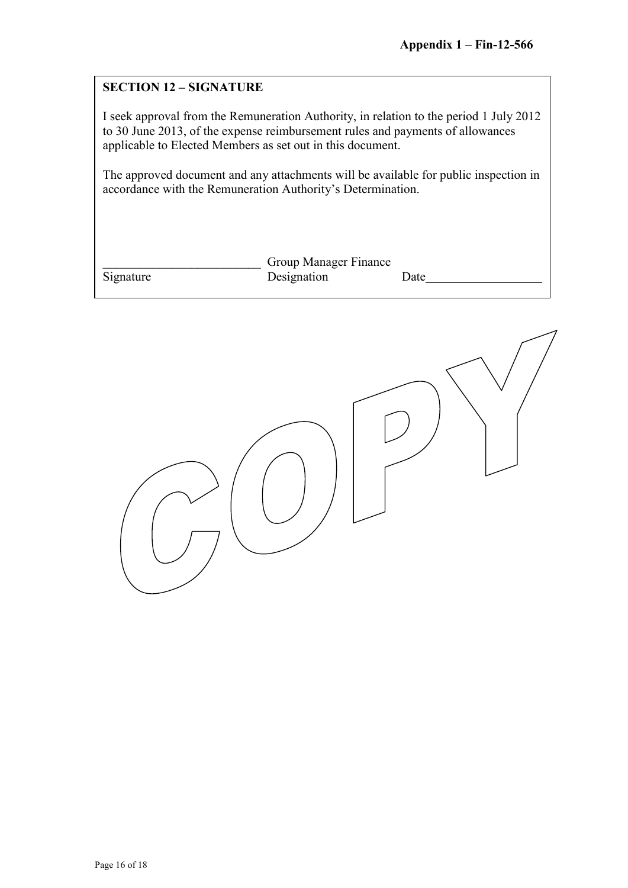#### **SECTION 12 – SIGNATURE**

I seek approval from the Remuneration Authority, in relation to the period 1 July 2012 to 30 June 2013, of the expense reimbursement rules and payments of allowances applicable to Elected Members as set out in this document.

The approved document and any attachments will be available for public inspection in accordance with the Remuneration Authority's Determination.

|           | <b>Group Manager Finance</b> |      |
|-----------|------------------------------|------|
| Signature | Designation                  | Date |

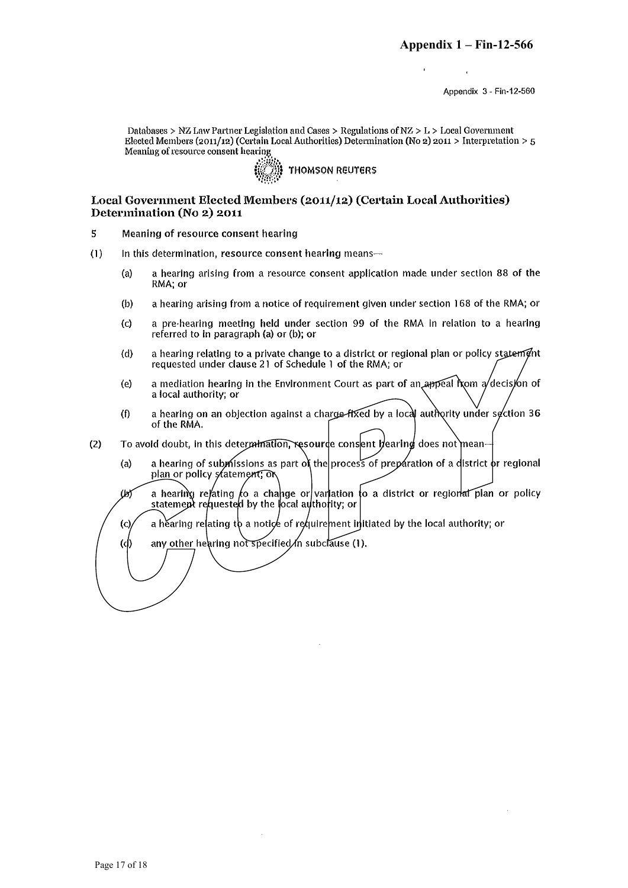Appendix 3 - Fin-12-560

Databases > NZ Law Partner Legislation and Cases > Regulations of  $NZ > L >$  Local Government Elected Members (2011/12) (Certain Local Authorities) Determination (No 2) 2011 > Interpretation > 5 Meaning of resource consent hearing



#### Local Government Elected Members (2011/12) (Certain Local Authorities) Determination (No 2) 2011

- 5 Meaning of resource consent hearing
- $(1)$ In this determination, resource consent hearing means
	- a hearing arising from a resource consent application made under section 88 of the  $(a)$ RMA; or
	- a hearing arising from a notice of requirement given under section 168 of the RMA; or  $(b)$
	- a pre-hearing meeting held under section 99 of the RMA in relation to a hearing  $(c)$ referred to in paragraph (a) or (b); or
	- a hearing relating to a private change to a district or regional plan or policy statement  $(d)$ requested under clause 21 of Schedule 1 of the RMA; or
	- a mediation hearing in the Environment Court as part of an appeal from  $a/d$ ecision of  $(e)$ a local authority; or
	- a hearing on an objection against a charge-fixed by a local authority under section 36  $(f)$ of the RMA.
- To avoid doubt, in this determination, resource consent hearing does not mean- $(2)$ 
	- a hearing of submissions as part of the process of preparation of a district or regional  $(a)$ plan or policy statement; or
	- a hearting relating to a change or variation to a district or regional plan or policy (k statement requested by the local authority; or
	- a hearing relating to a notice of requirement initiated by the local authority; or  $\rm (c)$
	- any other hearing not specified in subclause (1).  $\langle \phi \rangle$